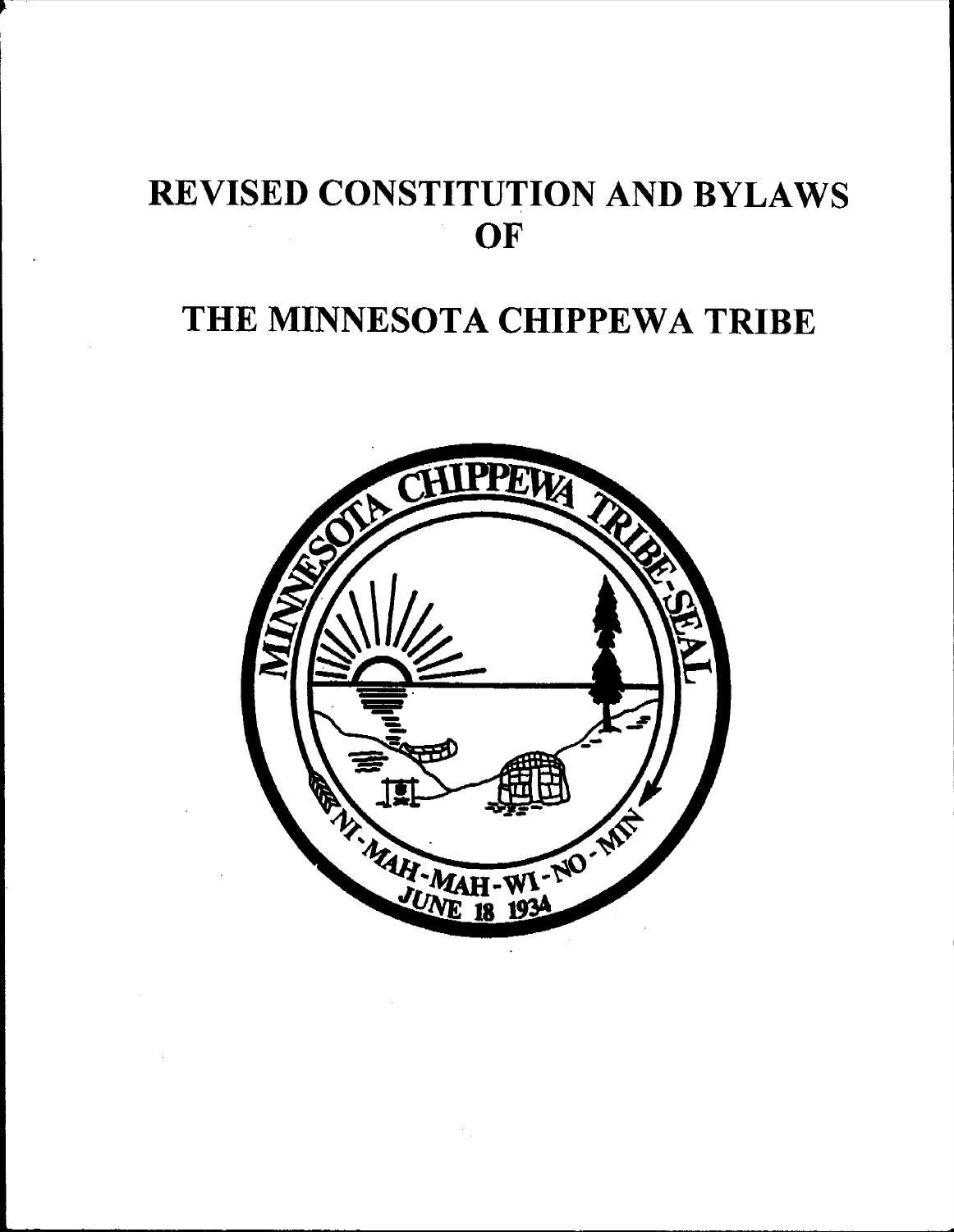# REVISED CONSTITUTION AND BYLAWS **OF**

# THE MINNESOTA CHIPPEWA TRIBE

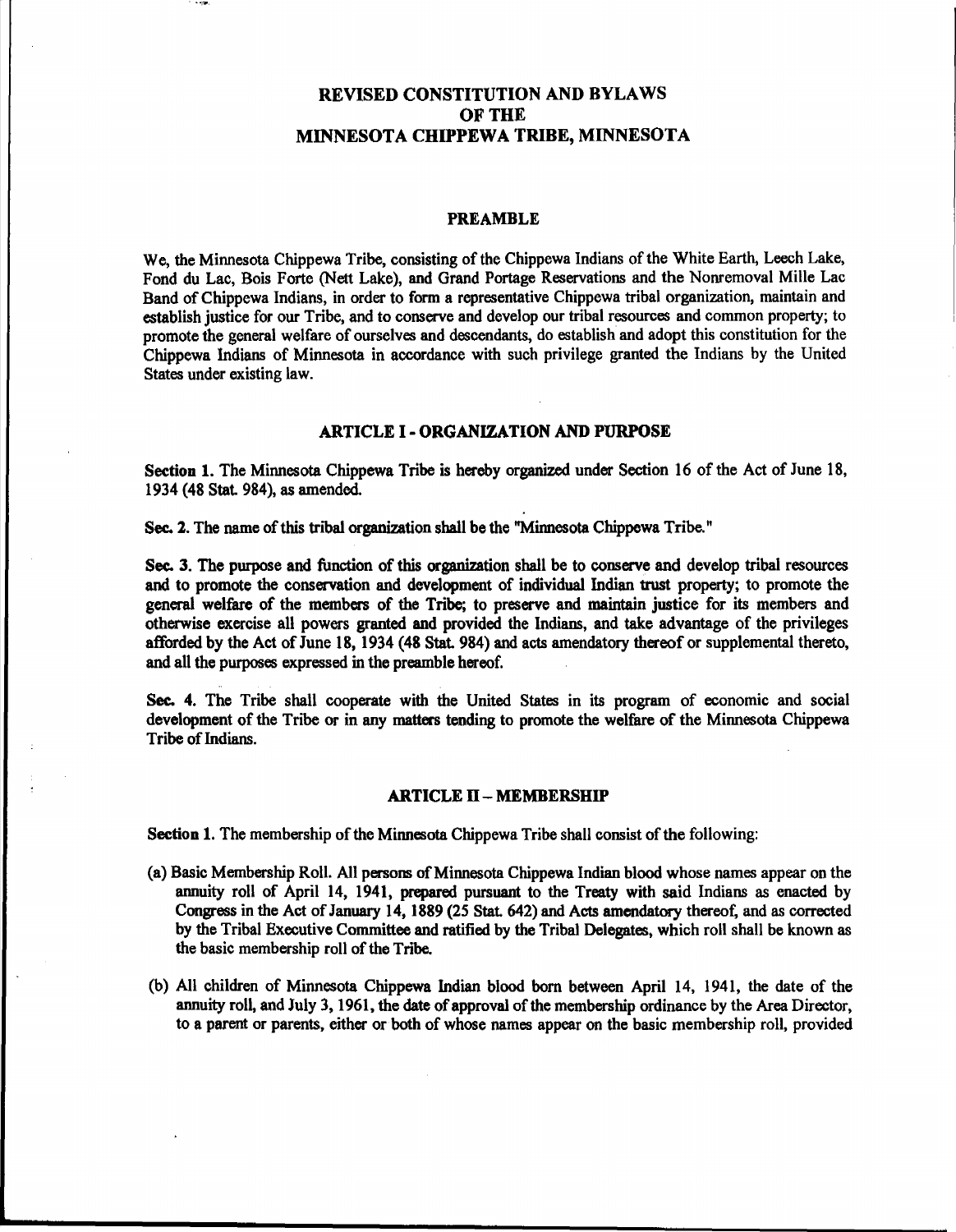# REVISED CONSTITUTION AND BYLAWS OF THE MINNESOTA CHIPPEWA TRIBE, MINNESOTA

# PREAMBLE

We, the Minnesota Chippewa Tribe, consisting of the Chippewa Indians of the White Earth, Leech Lake, Fond du Lac, Bois Forte (Nett Lake), and Grand Portage Reservations and the Nonremoval Mille Lac Band ofChippewa Indians, in order to form a representative Chippewa tribal organization, maintain and establish justice for our Tribe, and to conserve and develop our tribal resources and common property; to promote the general welfare of ourselves and descendants, do establish and adopt this constitution for the Chippewa Indians of Minnesota in accordance with such privilege granted the Indians by the United States under existing law.

#### ARTICLE I - ORGANIZATION AND PURPOSE

Section 1. The Minnesota Chippewa Tribe is hereby organized under Section 16 of the Act of June 18, 1934 (48 Stat. 984), as amended.

Sec. 2. The name of this tribal organization shall be the "Minnesota Chippewa Tribe."

Sec:. 3. The purpose and function of this organization shall be to conserve and develop tribal resources and to promote the conservation and development of individual Indian trust property; to promote the general welfare of the members of the Tribe; to preserve and maintain justice for its members and otherwise exercise all powers granted and provided the Indians, and take advantage of the privileges afforded by the Act of June 18, 1934 (48 Stat. 984) and acts amendatory thereof or supplemental thereto, and all the purposes expressed in the preamble hereof.

See. 4. The Tribe shall cooperate with the United States in its program of economic and social development of the Tribe or in any matters tending to promote the welfare of the Minnesota Chippewa Tribe of Indians.

# ARTICLE II - MEMBERSHIP

Section 1. The membership of the Minnesota Chippewa Tribe shall consist of the following:

- (a) Basic Membership Roll. All persons of Minnesota Chippewa Indian blood whose names appear on the annuity roll of April 14, 1941, prepared pursuant to the Treaty with said Indians as enacted by Congress in the Act of January 14, 1889 (25 Stat. 642) and Acts amendatory thereof, and as corrected by the Tribal Executive Committee and ratified by the Tribal Delegates, which roll shall be known as the basic membership roll of the Tribe.
- (b) All children of Minnesota Chippewa Indian blood born between April 14, 1941, the date of the annuity roll, and July 3, 1961, the date of approval of the membership ordinance by the Area Director, to a parent or parents, either or both of whose names appear on the basic membership roll, provided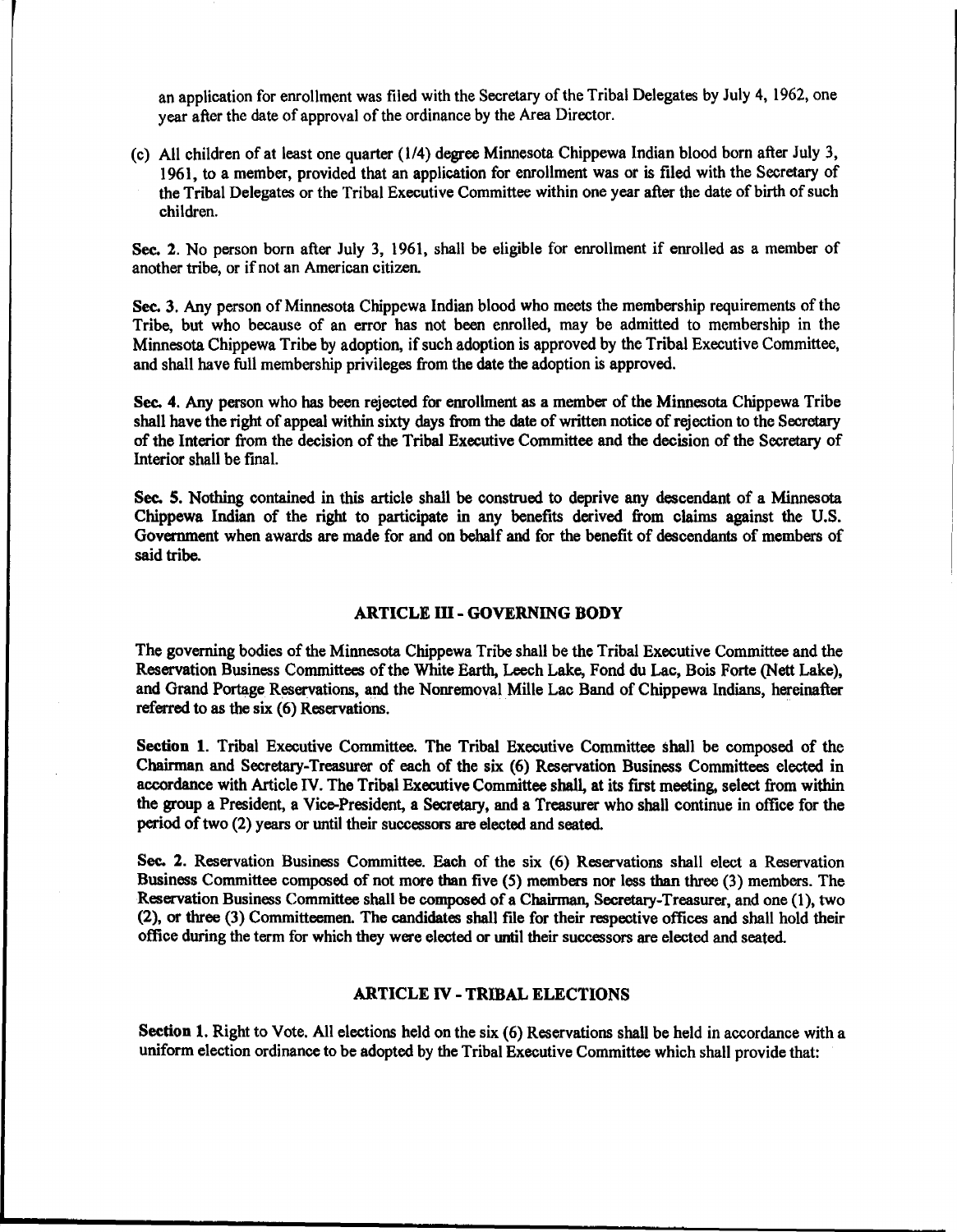an application for enrollment was filed with the Secretary ofthe Tribal Delegates by July 4, 1962, one year after the date of approval of the ordinance by the Area Director.

(c) All children of at least one quarter (1/4) degree Mirmesota Chippewa Indian blood born after July 3, 1961, to a member, provided that an application for enrollment was or is filed with the Secretary of the Tribal Delegates or the Tribal Executive Committee within one year after the date of birth of such children.

Sec. 2. No person born after July 3, 1961, shall be eligible for enrollment if enrolled as a member of another tribe, or if not an American citizen.

Sec. 3. Any person of Minnesota Chippewa Indian blood who meets the membership requirements of the Tribe, but who because of an error has not been enrolled, may be admitted to membership in the Minnesota Chippewa Tribe by adoption, if such adoption is approved by the Tribal Executive Committee, and shall have full membership privileges from the date the adoption is approved.

Sec. 4. Any person who has been rejected for enrollment as a member of the Minnesota Chippewa Tribe shall have the right of appeal within sixty days from the date of written notice of rejection to the Secretary of the Interior from the decision of the Tribal Executive Committee and the decision of the Secretary of Interior shall be fInal.

Sec. S. Nothing contained in this article shall be construed to deprive any descendant of a Minnesota Chippewa Indian of the right to participate in any benefits derived from claims against the U.S. Government when awards are made for and on behalf and for the benefit of descendants of members of said tribe.

# **ARTICLE III - GOVERNING BODY**

The governing bodies of the Minnesota Chippewa Tribe shall be the Tribal Executive Committee and the Reservation Business Committees of the White Earth, Leech Lake, Fond du Lac, Bois Forte (Nett Lake), and Grand Portage Reservations, and the Nonremoval Mille Lac Band of Chippewa Indians, hereinafter referred to as the six (6) Reservations.

Section 1. Tribal Executive Committee. The Tribal Executive Committee shall be composed of the Chairman and Secretary-Treasurer of each of the six (6) Reservation Business Committees elected in accordance with Article IV. The Tribal Executive Committee shall, at its first meeting, select from within the group a President, a Vice-President, a Secretary, and a Treasurer who shall continue in office for the period of two (2) years or until their successors are elected and seated.

Sec. 2. Reservation Business Committee. Each of the six (6) Reservations shall elect a Reservation Business Committee composed of not more than five (5) members nor less than three (3) members. The Reservation Business Committee shall be composed of a Chairman, Secretary-Treasurer, and one (1), two (2), or three (3) Committeemen. The candidates shall file for their respective offices and shall hold their office during the term for which they were elected or until their successors are elected and seated.

# ARTICLE IV - TRIBAL ELECTIONS

Section 1. Right to Vote. All elections held on the six (6) Reservations shall be held in accordance with a uniform election ordinance to be adopted by the Tribal Executive Committee which shall provide that: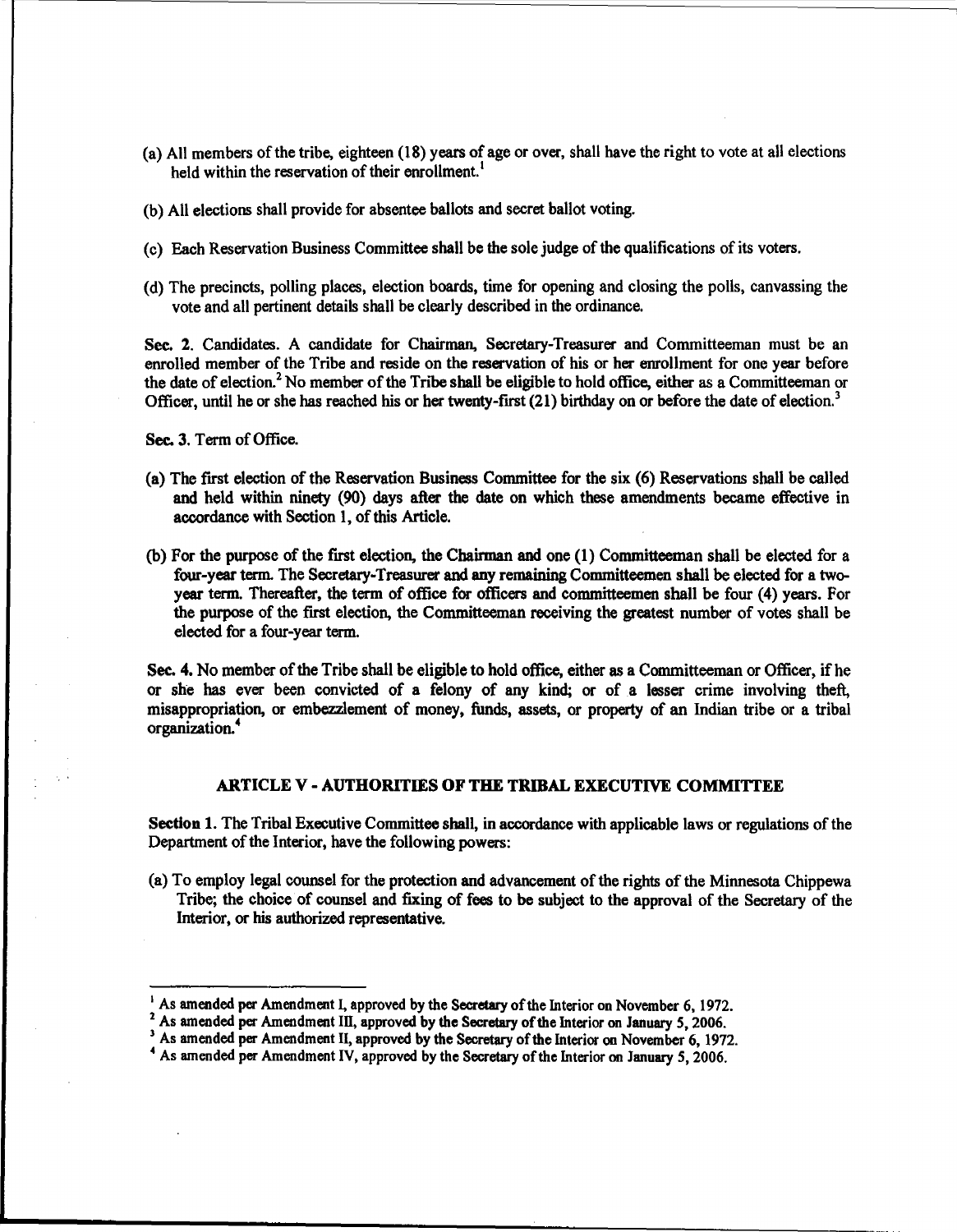- (a) All members ofthe tribe, eighteen (18) years of age or over, shall have the right to vote at all elections held within the reservation of their enrollment.<sup>1</sup>
- (b) All elections shall provide for absentee ballots and secret ballot voting.
- (c) Each Reservation Business Committee shall be the sole judge ofthe qualifications ofits voters.
- (d) The precincts, polling places, election boards, time for opening and closing the polls, canvassing the vote and all pertinent details shall be clearly described in the ordinance.

See. 2. Candidates. A candidate for Chairman, Secretary-Treasurer and Committeeman must be an enrolled member of the Tribe and reside on the reservation of his or her enrollment for one year before the date of election.<sup>2</sup> No member of the Tribe shall be eligible to hold office, either as a Committeeman or Officer, until he or she has reached his or her twenty-first (21) birthday on or before the date of election.<sup>3</sup>

Sec. 3. Term of Office.

- (a) The first election ofthe Reservation Business Committee for the six (6) Reservations shall be called and held within ninety (90) days after the date on which these amendments became effective in accordance with Section 1, of this Article.
- (b) For the purpose of the first election, the Chairman and one (1) Committeeman shall be elected for a four-year term. The Secretary~Treasurer and any remaining Committeemen shall be elected for a twoyear term. Thereafter, the term of office for officers and committeemen shall be four (4) years. For the purpose of the first election, the Committeeman receiving the greatest number of votes shall be elected for a four-year term.

Sec. 4. No member of the Tribe shall be eligible to hold office, either as a Committeeman or Officer, if he or she has ever been convicted of a felony of any kind; or ofa lesser crime involving theft, misappropriation, or embezzlement of money, funds, assets, or property of an Indian tribe or a tribal organization.<sup>4</sup>

## ARTICLE V - AUTHORITIES OF THE TRIBAL EXECUTIVE COMMITTEE

Section 1. The Tribal Executive Committee shall, in accordance with applicable laws or regulations ofthe Department of the Interior, have the following powers:

(a) To employ legal counsel for the protection and advancement of the rights of the Minnesota Chippewa Tribe; the choice of counsel and fixing of fees to be subject to the approval of the Secretary of the Interior, or his authorized representative.

 $<sup>1</sup>$  As amended per Amendment I, approved by the Secretary of the Interior on November 6, 1972.</sup>

<sup>&</sup>lt;sup>2</sup> As amended per Amendment III, approved by the Secretary of the Interior on January 5, 2006.

<sup>&</sup>lt;sup>3</sup> As amended per Amendment II, approved by the Secretary of the Interior on November 6, 1972.

<sup>&</sup>lt;sup>4</sup> As amended per Amendment IV, approved by the Secretary of the Interior on January 5, 2006.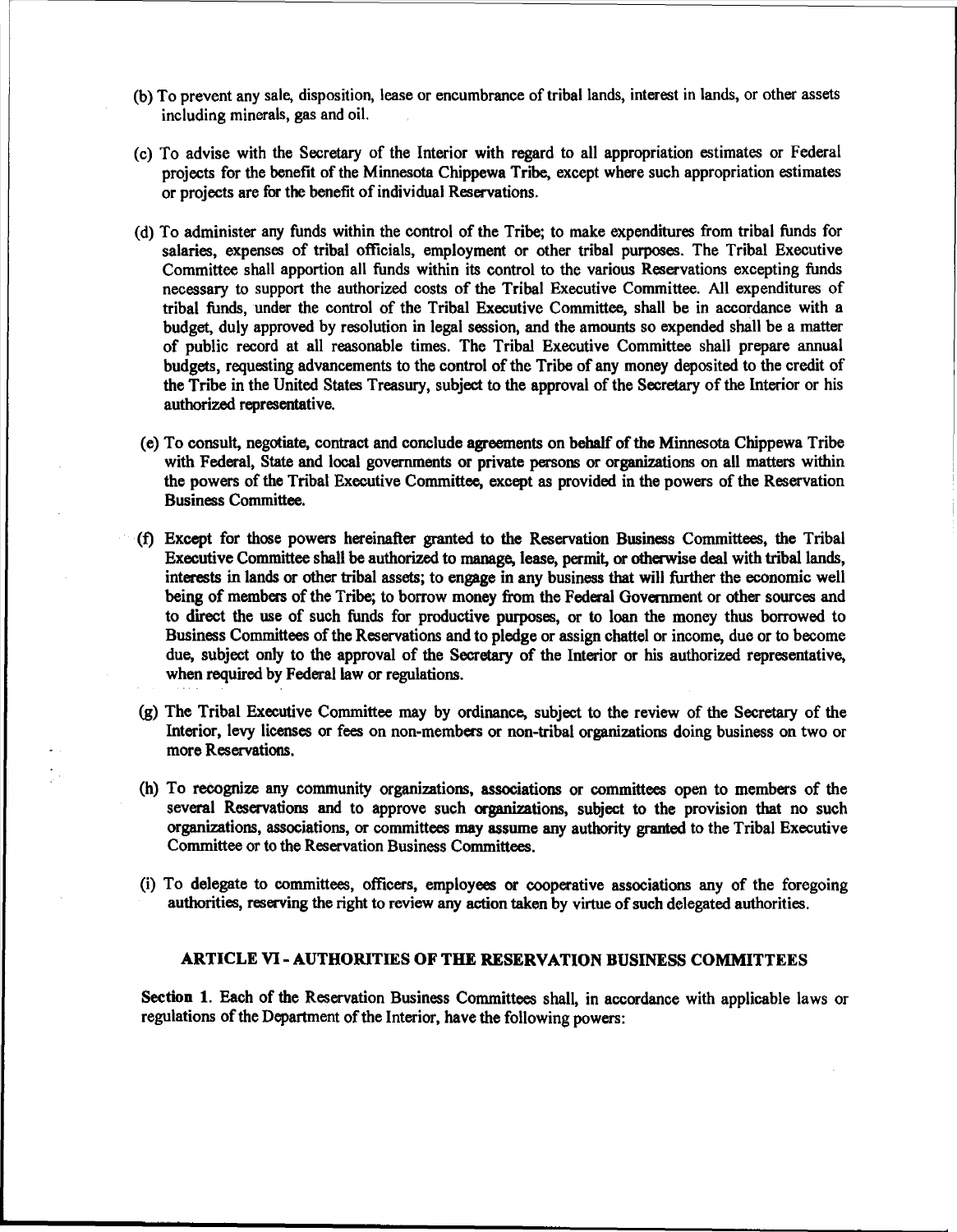- (b) To prevent any sale, disposition, lease or encumbrance of tribal lands, interest in lands, or other assets including minerals, gas and oil.
- (c) To advise with the Secretary of the Interior with regard to all appropriation estimates or Federal projects for the benefit of the Minnesota Chippewa Tribe, except where such appropriation estimates or projects are for the benefit of individual Reservations.
- (d) To administer any funds within the control of the Tribe; to make expenditures from tribal funds for salaries, expenses of tribal officials, employment or other tribal purposes. The Tribal Executive Committee shall apportion all funds within its control to the various Reservations excepting funds necessary to support the authorized costs of the Tribal Executive Committee. All expenditures of tribal funds, under the control of the Tribal Executive Committee, shall be in accordance with a budget, duly approved by resolution in legal session, and the amounts so expended shall be a matter of public record at all reasonable times. The Tribal Executive Committee shall prepare annual budgets, requesting advancements to the control of the Tribe of any money deposited to the credit of the Tribe in the United States Treasury, subject to the approval of the Secretary of the Interior or his authorized representative.
- (e) To consult, negotiate, contract and conclude agreements on behalf ofthe Minnesota Chippewa Tribe with Federal, State and local governments or private persons or organizations on all matters within the powers of the Tribal Executive Committee, except as provided in the powers of the Reservation Business Committee.
- .(t) Except for those powers hereinafter granted to the Reservation Business Committees, the Tribal Executive Committee shall be authorized to manage, lease, permit, or otherwise deal with tribal lands, interests in lands or other tribal assets; to engage in any business that will further the economic well being of members of the Tribe; to borrow money from the Federal Government or other sources and to direct the use of such funds for productive purposes, or to loan the money thus borrowed to Business Committees of the Reservations and to pledge or assign chattel or income, due or to become due, subject only to the approval of the Secretary of the Interior or his authorized representative, when required by Federal law or regulations.
- (g) The Tribal Executive Committee may by ordinance, subject to the review of the Secretary of the Interior, levy licenses or fees on non-members or non-tribal organizations doing business on two or more Reservations.
- (h) To recognize any community organizations, associations or committees open to members of the several Reservations and to approve such organizations, subject to the provision that no such organizations, associations, or committees may assume any authority granted to the Tribal Executive Committee or to the Reservation Business Committees.
- (i) To delegate to committees, officers, employees or cooperative associations any of the foregoing authorities, reserving the right to review any action taken by virtue of such delegated authorities.

# ARTICLE VI - AUTHORITIES OF THE RESERVATION BUSINESS COMMITTEES

Section 1. Each of the Reservation Business Committees shall, in accordance with applicable laws or regulations of the Department of the Interior, have the following powers: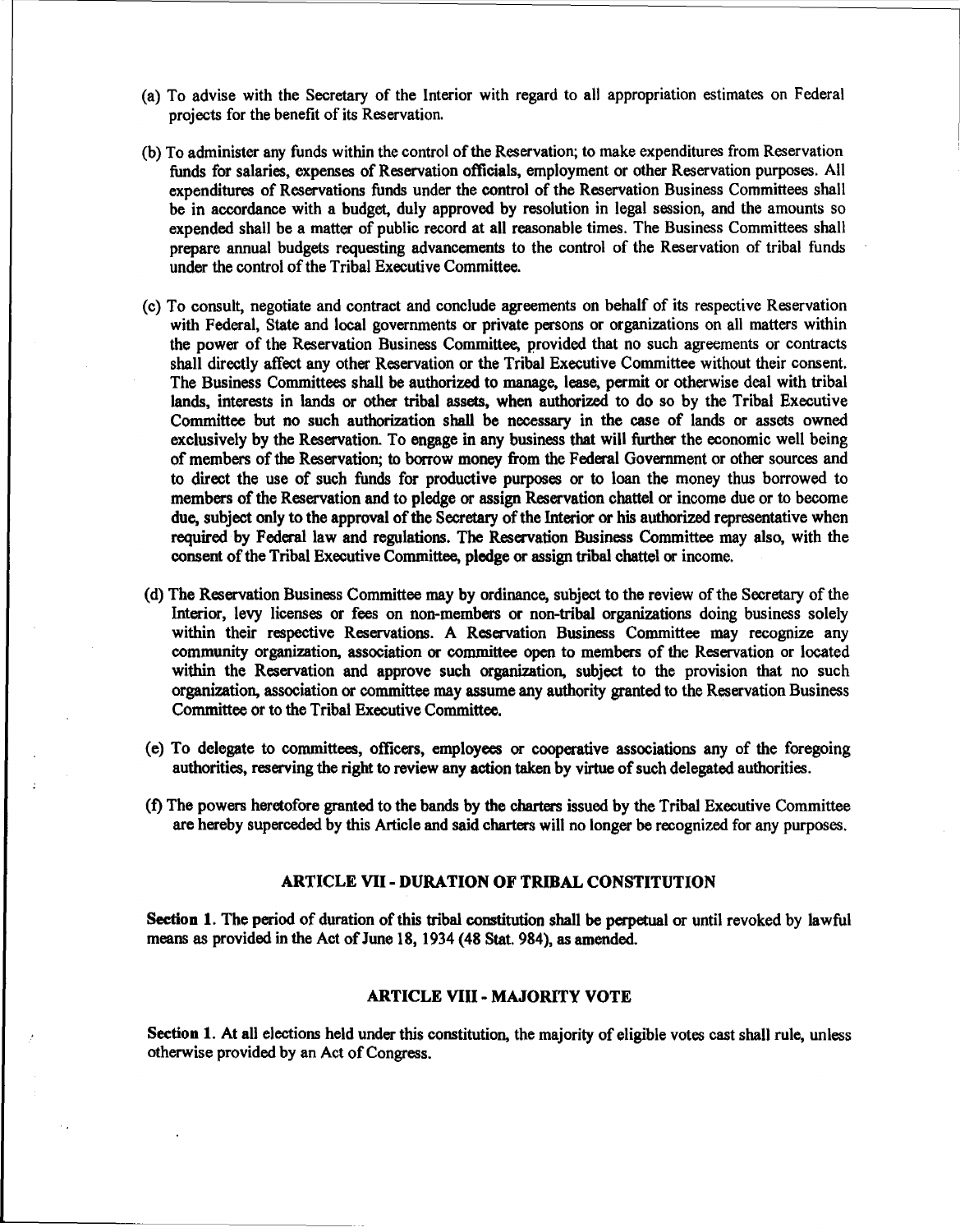- (a) To advise with the Secretary of the Interior with regard to all appropriation estimates on Federal projects for the benefit of its Reservation.
- (b) To administer any funds within the control of the Reservation; to make expenditures from Reservation funds for salaries, expenses of Reservation officials, employment or other Reservation purposes. All expenditures of Reservations funds under the control of the Reservation Business Committees shall be in accordance with a budget, duly approved by resolution in legal session, and the amounts so expended shall be a matter of public record at all reasonable times. The Business Committees shall prepare annual budgets requesting advancements to the control of the Reservation of tribal funds under the control of the Tribal Executive Committee.
- (c) To consult, negotiate and contract and conclude agreements on behalf of its respective Reservation with Federal, State and local governments or private persons or organizations on all matters within the power of the Reservation Business Committee, provided that no such agreements or contracts shall directly affect any other Reservation or the Tribal Executive Committee without their consent. The Business Committees shall be authorized to manage, lease, permit or otherwise deal with tribal lands, interests in lands or other tribal assets, when authorized to do so by the Tribal Executive Committee but no such authorization sball be necessary in the case of lands or assets owned exclusively by the Reservation. To engage in any business that will further the economic well being of members of the Reservation; to borrow money from the Federal Government or other sources and to direct the use of such funds for productive purposes or to loan the money thus borrowed to members of the Reservation and to pledge or assign Reservation chattel or income due or to become due, subject only to the approval of the Secretary of the Interior or his authorized representative when required by Federal law and regulations. The Reservation Business Committee may also, with the consent of the Tribal Executive Committee, pledge or assign tribal chattel or income.
- (d) The Reservation Business Committee may by ordinance, subject to the review ofthe Secretary ofthe Interior, levy licenses or fees on non-members or non-tribal organizations doing business solely within their respective Reservations. A Reservation Business Committee may recognize any community organization, association or committee open to members of the Reservation or located within the Reservation and approve such organization, subject to the provision that no such organization, association or committee may assume any authority granted to the Reservation Business Committee or to the Tribal Executive Committee.
- (e) To delegate to committees, officers, employees or cooperative associations any of the foregoing authorities, reserving the right to review any action taken by virtue of such delegated authorities.
- (f) The powers heretofore granted to the bands by the charters issued by the Tribal Executive Committee are hereby superceded by this Article and said charters will no longer be recognized for any purposes.

#### ARTICLE VII - DURATION OF TRIBAL CONSTITUTION

Section 1. The period of duration of this tribal constitution shall be perpetual or until revoked by lawful means as provided in the Act of June 18, 1934 (48 Stat. 984), as amended.

# ARTICLE VIII - MAJORITY VOTE

Section 1. At all elections held under this constitution, the majority of eligible votes cast shall rule, unless otherwise provided by an Act of Congress.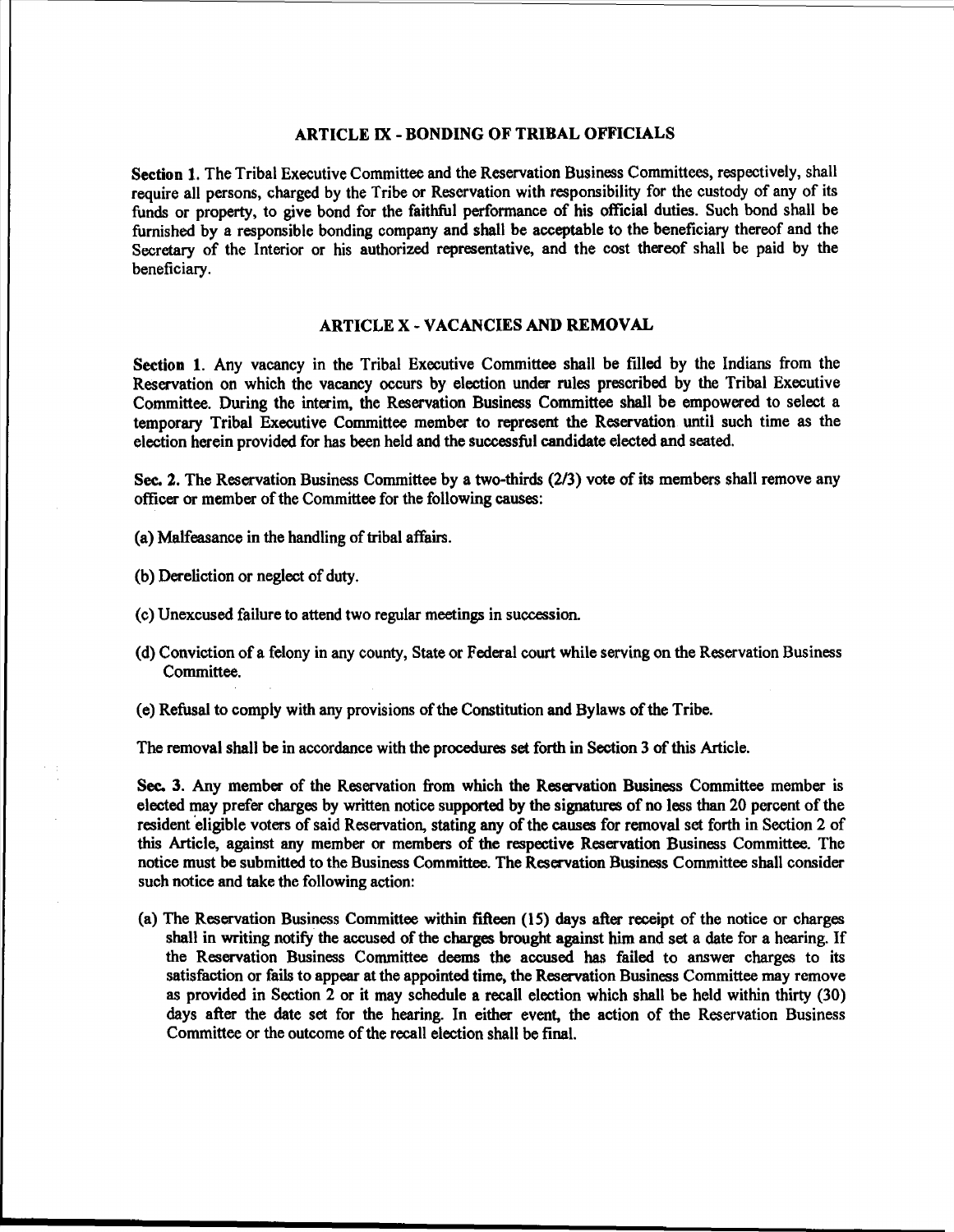## ARTICLE IX - BONDING OF TRIBAL OFFICIALS

Section 1. The Tribal Executive Committee and the Reservation Business Committees, respectively, shall require all persons, charged by the Tribe or Reservation with responsibility for the custody of any of its funds or property, to give bond for the faithful performance of his official duties. Such bond shall be furnished by a responsible bonding company and shall be acceptable to the beneficiary thereof and the Secretary of the Interior or his authorized representative, and the cost thereof shall be paid by the beneficiary.

## ARTICLE X • VACANCIES AND REMOVAL

Section 1. Any vacancy in the Tribal Executive Committee shall be filled by the Indians from the Reservation on which the vacancy occurs by election under rules prescribed by the Tribal Executive Committee. During the interim, the Reservation Business Committee shall be empowered to select a temporary Tribal Executive Committee member to represent the Reservation until such time as the election herein provided for has been held and the successful candidate elected and seated.

Sec. 2. The Reservation Business Committee by a two-thirds *(213)* vote of its members shall remove any officer or member of the Committee for the following causes:

(a) Malfeasance in the handling of tribal affairs.

(b) Dereliction or neglect of duty.

- (c) Unexcused failure to attend two regular meetings in succession.
- (d) Conviction of a felony in any county, State or Federal court while serving on the Reservation Business Committee.
- (e) Refusal to comply with any provisions ofthe Constitution and Bylaws ofthe Tribe.

The removal shall be in accordance with the procedures set forth in Section 3 ofthis Article.

Sec. 3. Any member of the Reservation from which the Reservation Business Committee member is elected may prefer charges by written notice supported by the signatures of no less than 20 percent of the resident eligible voters of said Reservation, stating any of the causes for removal set forth in Section 2 of this Article. against any member or members of the respective Reservation Business Committee. The notice must be submitted to the Business Committee. The Reservation Business Committee shall consider such notice and take the following action:

(a) The Reservation Business Committee within fifteen (15) days after receipt of the notice or charges shall in writing notify the accused of the charges brought against him and set a date for a hearing. If the Reservation Business Committee deems the accused has failed to answer charges to its satisfaction or fails to appear at the appointed time, the Reservation Business Committee may remove as provided in Section 2 or it may schedule a recall election which shall be held within thirty (30) days after the date set for the hearing. In either event, the action of the Reservation Business Committee or the outcome of the recall election shall be final.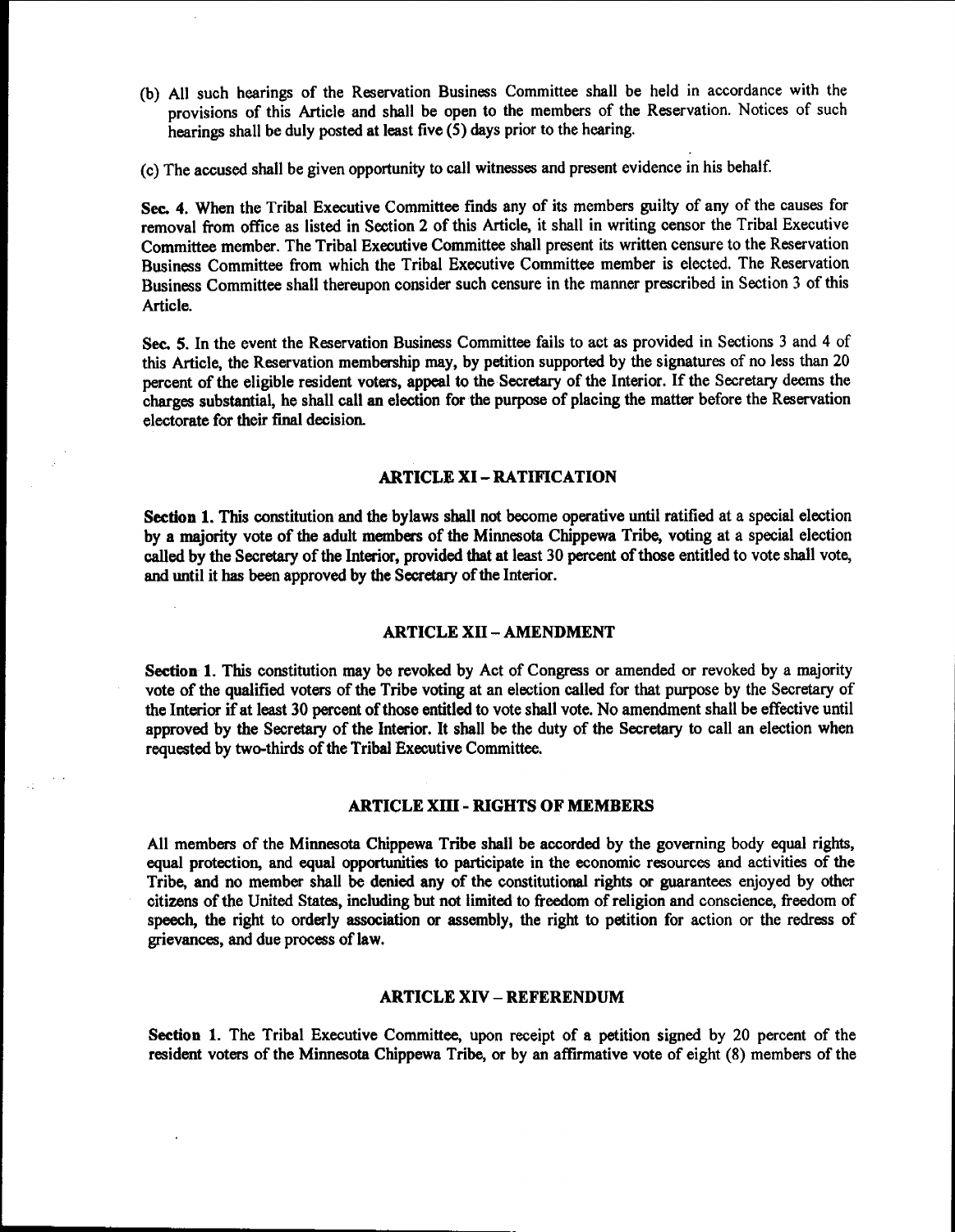- (b) All such hearings of the Reservation Business Committee shall be held in accordance with the provisions of this Article and shall be open to the members of the Reservation. Notices of such hearings shall be duly posted at least five (5) days prior to the hearing.
- (c) The accused shall be given opportunity to call witnesses and present evidence in his behalf.

Sec. 4. When the Tribal Executive Committee finds any of its members guilty of any of the causes for removal from office as listed in Section 2 of this Article, it shall in writing censor the Tribal Executive Committee member. The Tribal Executive Committee shall present its written censure to the Reservation Business Committee from which the Tribal Executive Committee member is elected. The Reservation Business Committee shall thereupon consider such censure in the manner prescribed in Section 3 of this Article.

Sec. 5. In the event the Reservation Business Committee fails to act as provided in Sections 3 and 4 of this Article, the Reservation membership may, by petition supported by the signatures of no less than 20 percent of the eligible resident voters, appeal to the Secretary of the Interior. If the Secretary deems the charges substantial, he shall call an election for the purpose of placing the matter before the Reservation electorate for their final decision.

#### ARTICLE XI - RATIFICATION

Section 1. This constitution and the bylaws shall not become operative until ratified at a special election by a majority vote of the adult members of the Minnesota Chippewa Tribe, voting at a special election called by the Secretary of the Interior, provided that at least 30 percent of those entitled to vote shall vote, and until it has been approved by the Secretary of the Interior.

#### ARTICLE XII - AMENDMENT

Section 1. This constitution may be revoked by Act of Congress or amended or revoked by a majority vote of the qualified voters of the Tribe voting at an election called for that purpose by the Secretary of the Interior if at least 30 percent of those entitled to vote shall vote. No amendment shall be effective until approved by the Secretary of the Interior. It shall be the duty of the Secretary to call an election when requested by two-thirds of the Tribal Executive Committee.

#### **ARTICLE XIII - RIGHTS OF MEMBERS**

All members of the Minnesota Chippewa Tribe shall be accorded by the governing body equal rights, equal protection, and equal opportunities to participate in the economic resources and activities of the Tribe, and no member shall be denied any of the constitutional rights or guarantees enjoyed by other citizens of the United States, including but not limited to freedom of religion and conscience, freedom of speech, the right to orderly association or assembly, the right to petition for action or the redress of grievances, and due process of law.

#### ARTICLE XIV - REFERENDUM

Section 1. The Tribal Executive Committee, upon receipt of a petition signed by 20 percent of the resident voters of the Minnesota Chippewa Tribe, or by an affirmative vote of eight (8) members of the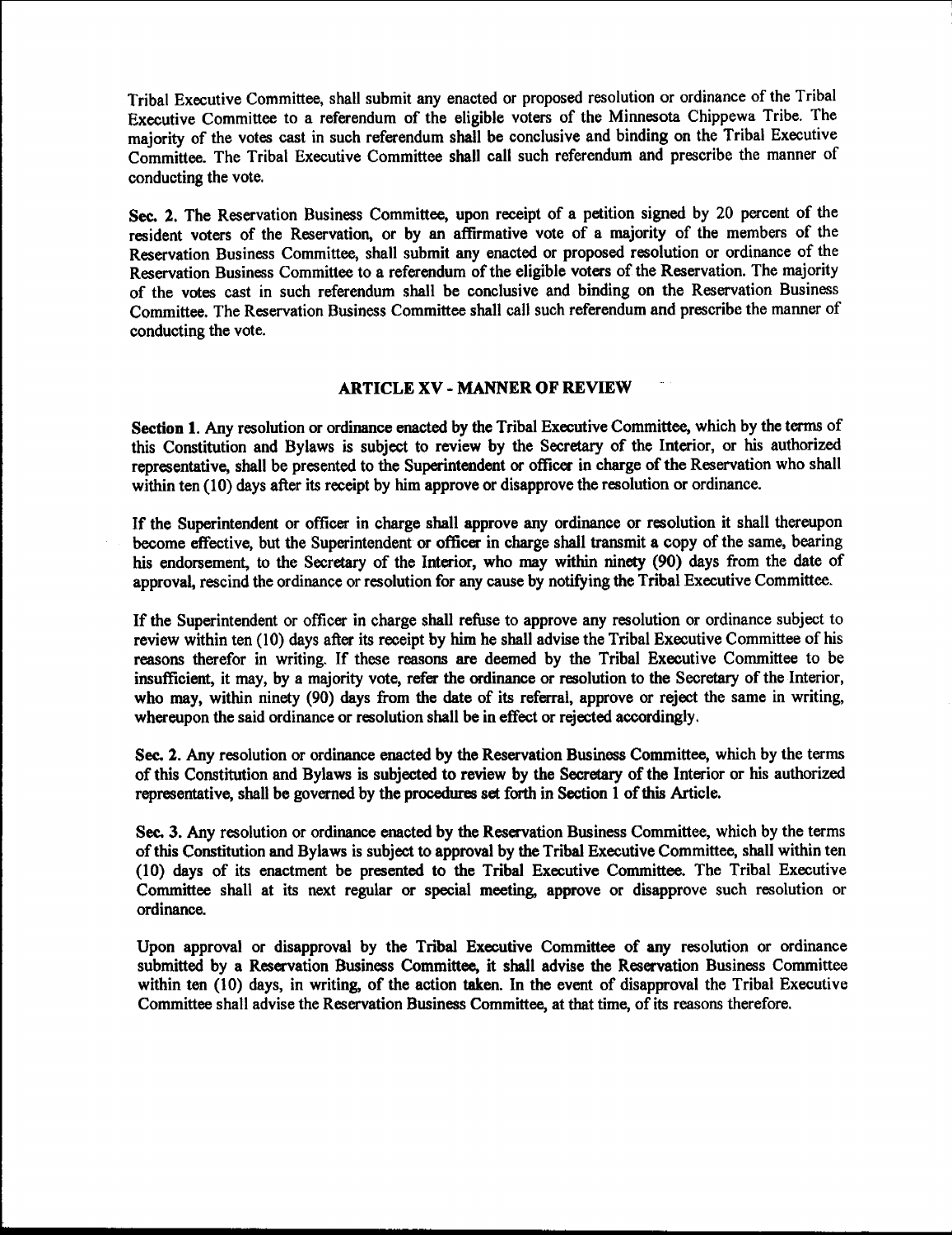Tribal Executive Committee, shall submit any enacted or proposed resolution or ordinance of the Tribal Executive Committee to a referendum of the eligible voters of the Minnesota Chippewa Tribe. The majority of the votes cast in such referendum shall be conclusive and binding on the Tribal Executive Committee. The Tribal Executive Committee shall call such referendum and prescribe the manner of conducting the vote.

Sec. 2. The Reservation Business Committee, upon receipt of a petition signed by 20 percent of the resident voters of the Reservation, or by an affirmative vote of a majority of the members of the Reservation Business Committee, shall submit any enacted or proposed resolution or ordinance of the Reservation Business Committee to a referendum of the eligible voters of the Reservation. The majority of the votes cast in such referendum shall be conclusive and binding on the Reservation Business Committee. The Reservation Business Committee shall call such referendum and prescribe the manner of conducting the vote.

# ARTICLE XV - MANNER OF REVIEW

Section 1. Any resolution or ordinance enacted by the Tribal Executive Committee, which by the terms of this Constitution and Bylaws is subject to review by the Secretary of the Interior, or his authorized representative, shall be presented to the Superintendent or officer in charge of the Reservation who shall within ten (10) days after its receipt by him approve or disapprove the resolution or ordinance.

If the Superintendent or officer in charge shall approve any ordinance or resolution it shall thereupon become effective, but the Superintendent or officer in charge shall transmit a copy of the same, bearing his endorsement, to the Secretary of the Interior, who may within ninety (90) days from the date of approval, rescind the ordinance or resolution for any cause by notifying the Tribal Executive Committee.

If the Superintendent or officer in charge shall refuse to approve any resolution or ordinance subject to review within ten (l0) days after its receipt by him he shall advise the Tribal Executive Committee of his reasons therefor in writing. If these reasons are deemed by the Tribal Executive Committee to be insufficient, it may, by a majority vote, refer the ordinance or resolution to the Secretary of the Interior, who may, within ninety (90) days from the date of its referral, approve or reject the same in writing, whereupon the said ordinance or resolution shall be in effect or rejected accordingly.

Sec. 2. Any resolution or ordinance enacted by the Reservation Business Committee, which by the terms of this Constitution and Bylaws is subjected to review by the Secretary ofthe Interior or his authorized representative, shall be governed by the procedures set forth in Section 1 ofthis Article.

Sec. 3. Any resolution or ordinance enacted by the Reservation Business Committee, which by the terms of this Constitution and Bylaws is subject to approval by the Tribal Executive Committee, shall within ten (10) days of its enactment be presented to the Tribal Executive Committee. The Tribal Executive Committee shall at its next regular or special meeting, approve or disapprove such resolution or ordinance.

Upon approval or disapproval by the Tribal Executive Committee of any resolution or ordinance submitted by a Reservation Business Committee, it shall advise the Reservation Business Committee within ten (10) days, in writing, of the action taken. In the event of disapproval the Tribal Executive Committee shall advise the Reservation Business Committee, at that time, of its reasons therefore.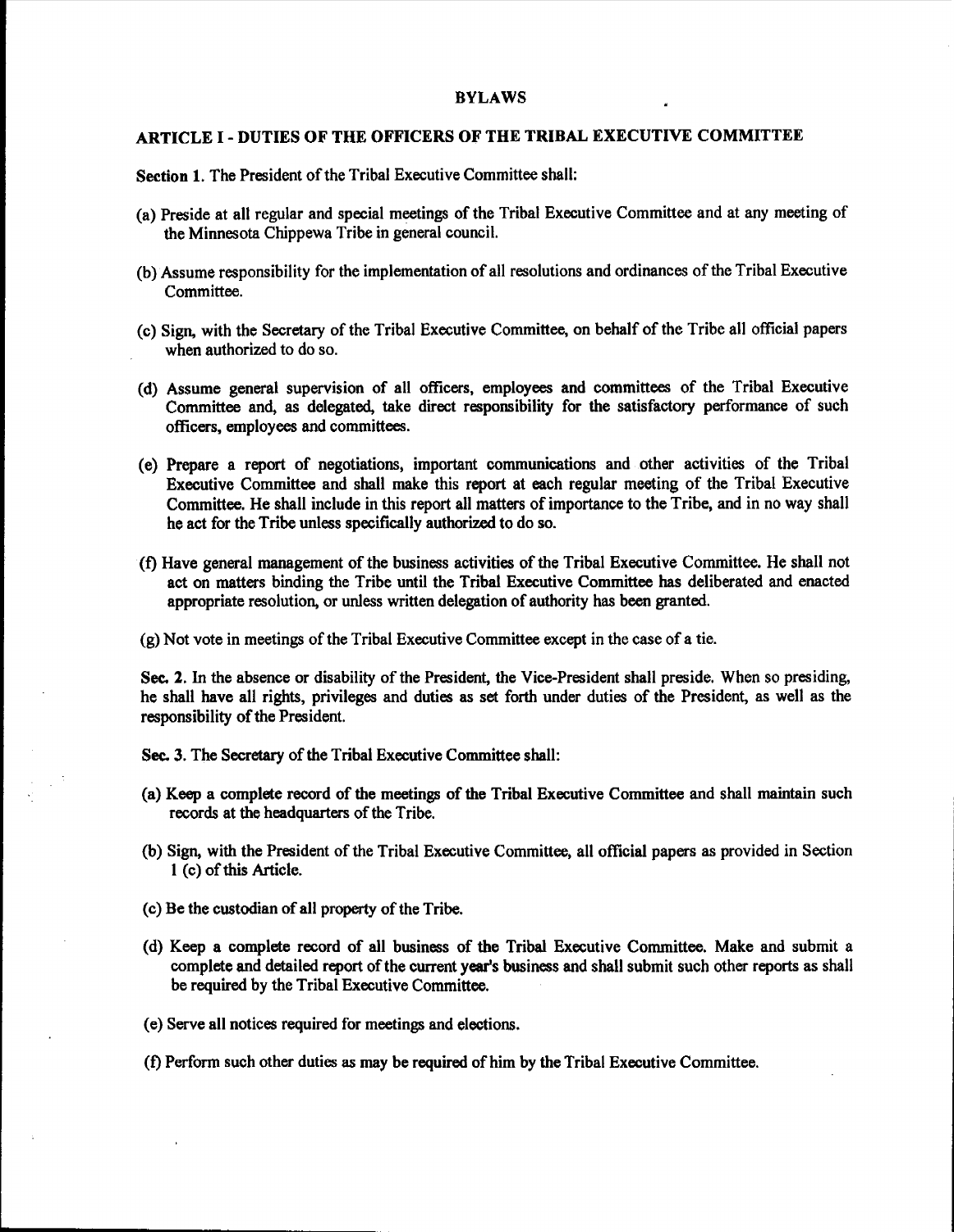#### BYLAWS

# ARTICLE I - DUTIES OF THE OFFICERS OF THE TRIBAL EXECUTIVE COMMITTEE

Section 1. The President of the Tribal Executive Committee shall:

- (a) Preside at all regular and special meetings of the Tribal Executive Committee and at any meeting of the Minnesota Chippewa Tribe in general council.
- (b) Assume responsibility for the implementation of all resolutions and ordinances ofthe Tribal Executive Committee.
- (c) Sign. with the Secretary of the Tribal Executive Committee, on behalf of the Tribe all official papers when authorized to do so.
- (d) Assume general supervision of all officers, employees and committees of the Tribal Executive Committee and, as delegated, take direct responsibility for the satisfactory performance of such officers, employees and committees.
- (e) Prepare a report of negotiations, important communications and other activities of the Tribal Executive Committee and shall make this report at each regular meeting of the Tribal Executive Committee. He shall include in this report all matters ofimportance to the Tribe, and in no way shall he act for the Tribe unless specifically authorized to do so.
- (f) Have general management ofthe business activities ofthe Tribal Executive Committee. He shall not act on matters binding the Tribe until the Tribal Executive Committee has deliberated and enacted appropriate resolution, or unless written delegation of authority has been granted.

 $(g)$  Not vote in meetings of the Tribal Executive Committee except in the case of a tie.

Sec. 2. In the absence or disability of the President, the Vice-President shall preside. When so presiding, he shall have all rights, privileges and duties as set forth under duties of the President, as well as the responsibility of the President.

Sec. 3. The Secretary of the Tribal Executive Committee shall:

- (a) Keep a complete record of the meetings of the Tribal Executive Committee and shall maintain such records at the headquarters of the Tribe.
- (b) Sign, with the President of the Tribal Executive Committee, all official papers as provided in Section 1 (c) of this Article.
- (c) Be the custodian of all property of the Tribe.
- (d) Keep a complete record of all business of the Tribal Executive Committee. Make and submit a complete and detailed report of the current year's business and shall submit such other reports as shall be required by the Tribal Executive Committee.
- (e) Serve all notices required for meetings and elections.
- (f) Perform such other duties as may be required of him by the Tribal Executive Committee.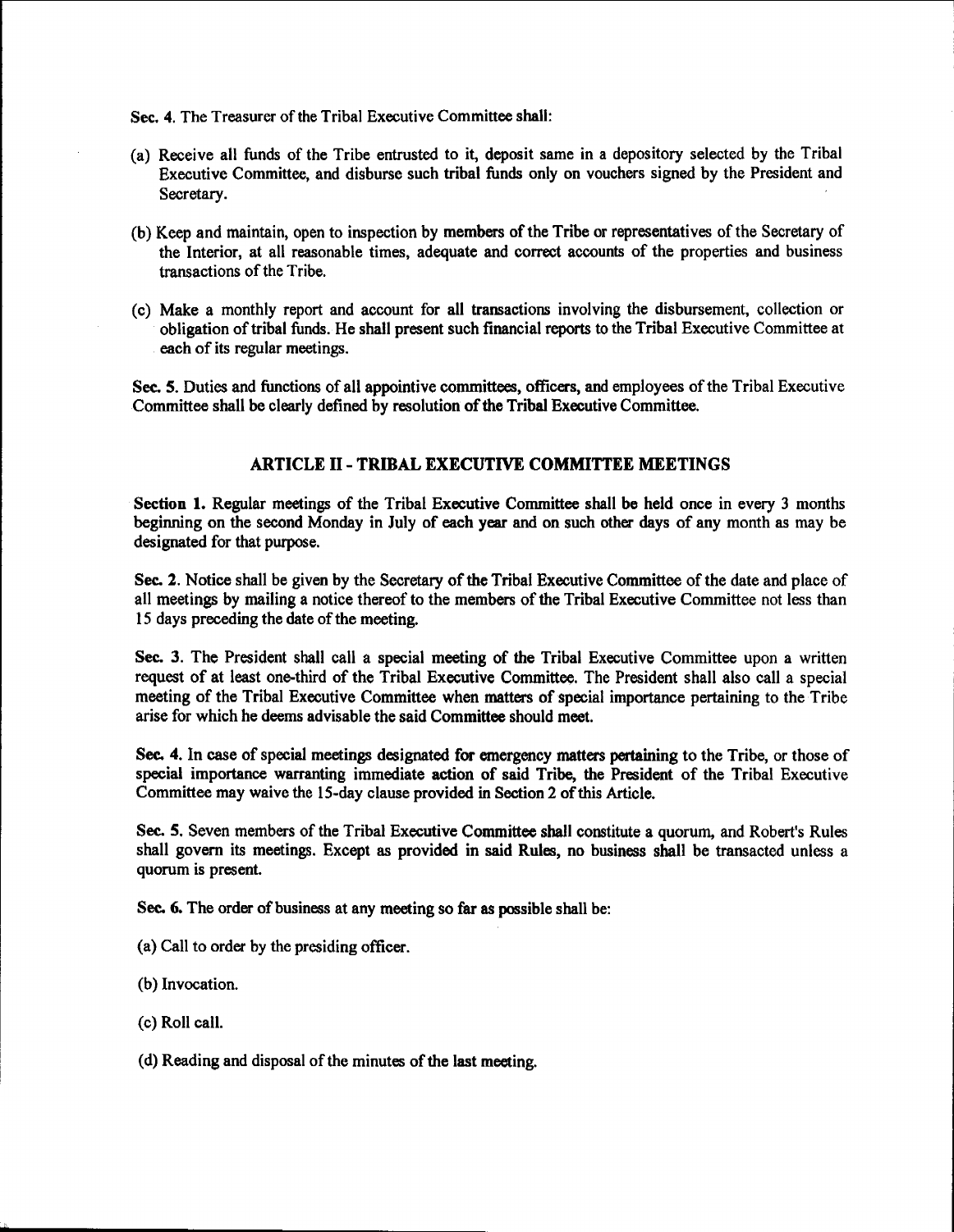Sec. 4. The Treasurer of the Tribal Executive Committee shall:

- (a) Receive all funds of the Tribe entrusted to it, deposit same in a depository selected by the Tribal Executive Committee, and disburse such tribal funds only on vouchers signed by the President and Secretary.
- (b) Keep and maintain, open to inspection by members of the Tribe or representatives of the Secretary of the Interior, at all reasonable times, adequate and correct accounts of the properties and business transactions of the Tribe.
- (c) Make a monthly report and account for all transactions involving the disbursement, collection or obligation of tribal funds. He shall present such financial reports to the Tribal Executive Committee at each of its regular meetings.

Sec. 5. Duties and functions of all appointive committees, officers, and employees of the Tribal Executive Committee shall be clearly defined by resolution of the Tribal Executive Committee.

# ARTICLE II - TRIBAL EXECUTIVE COMMITTEE MEETINGS

Section 1. Regular meetings of the Tribal Executive Committee shall be held once in every 3 months beginning on the second Monday in July of each year and on such other days of any month as may be designated for that purpose.

Sec. 2. Notice shall be given by the Secretary of the Tribal Executive Committee of the date and place of all meetings by mailing a notice thereof to the members of the Tribal Executive Committee not less than 15 days preceding the date of the meeting.

Sec. 3. The President shall call a special meeting of the Tribal Executive Committee upon a written request of at least one-third of the Tribal Executive Committee. The President shall also call a special meeting of the Tribal Executive Committee when matters of special importance pertaining to the Tribe arise for which he deems advisable the said Committee should meet.

Sec. 4. In case of special meetings designated for emergency matters pertaining to the Tribe, or those of special importance warranting immediate action of said Tribe, the President of the Tribal Executive Committee may waive the 15-day clause provided in Section 2 of this Article.

Sec. 5. Seven members of the Tribal Executive Committee shall constitute a quorum, and Robert's Rules shall govern its meetings. Except as provided in said Rules, no business shall be transacted unless a quorum is present.

Sec. 6. The order of business at any meeting so far as possible shall be:

(a) Call to order by the presiding officer.

(b) Invocation.

(c) Roll call.

(d) Reading and disposal of the minutes of the last meeting.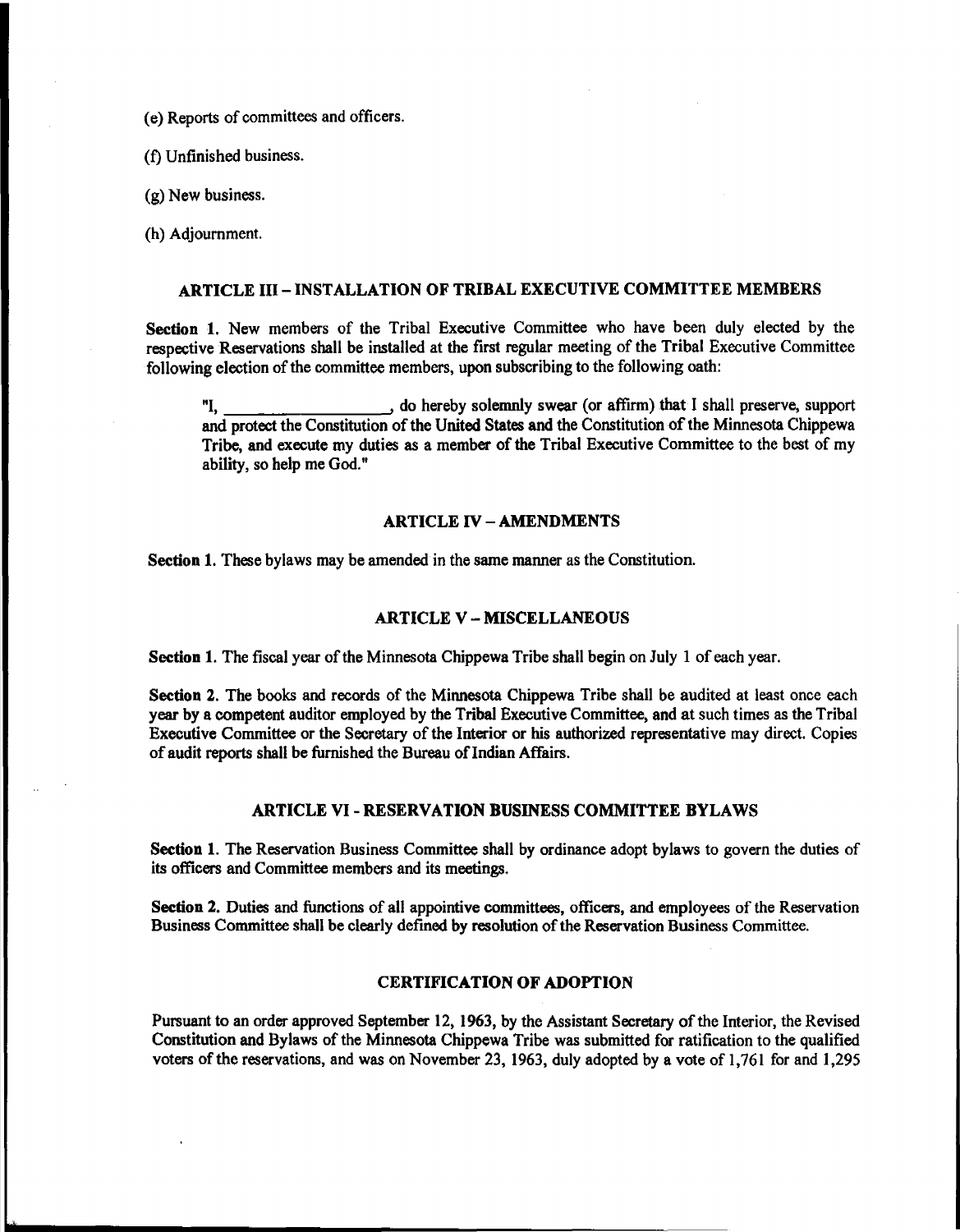(e) Reports of committees and officers.

(f) Unfinished business.

(g) New business.

(h) Adjournment.

# ARTICLE III - INSTALLATION OF TRIBAL EXECUTIVE COMMITTEE MEMBERS

Section 1. New members of the Tribal Executive Committee who have been duly elected by the respective Reservations shall be installed at the first regular meeting of the Tribal Executive Committee following election of the committee members, upon subscribing to the following oath:

"I, solemnly swear (or affirm) that I shall preserve, support and protect the Constitution of the United States and the Constitution of the Minnesota Chippewa Tribe, and execute my duties as a member of the Tribal Executive Committee to the best of my ability, so help me God."

#### ARTICLE IV - AMENDMENTS

Section 1. These bylaws may be amended in the same manner as the Constitution.

#### ARTICLE V - MISCELLANEOUS

Section 1. The fiscal year of the Minnesota Chippewa Tribe shall begin on July 1 of each year.

Section 2. The books and records of the Minnesota Chippewa Tribe shall be audited at least once each year by a competent auditor employed by the Tribal Executive Committee, and at such times as the Tribal Executive Committee or the Secretary of the Interior or his authorized representative may direct. Copies of audit reports shall be furnished the Bureau of Indian Affairs.

#### ARTICLE VI - RESERVATION BUSINESS COMMITTEE BYLAWS

Section 1. The Reservation Business Committee shall by ordinance adopt bylaws to govern the duties of its officers and Committee members and its meetings.

Section 2. Duties and functions of all appointive committees, officers, and employees of the Reservation Business Committee shall be clearly defined by resolution of the Reservation Business Committee.

# CERTIFICATION OF ADOPTION

Pursuant to an order approved September 12, 1963, by the Assistant Secretary of the Interior, the Revised Constitution and Bylaws of the Minnesota Chippewa Tribe was submitted for ratification to the qualified voters ofthe reservations, and was on November 23, 1963, duly adopted by a vote of 1,761 for and 1,295